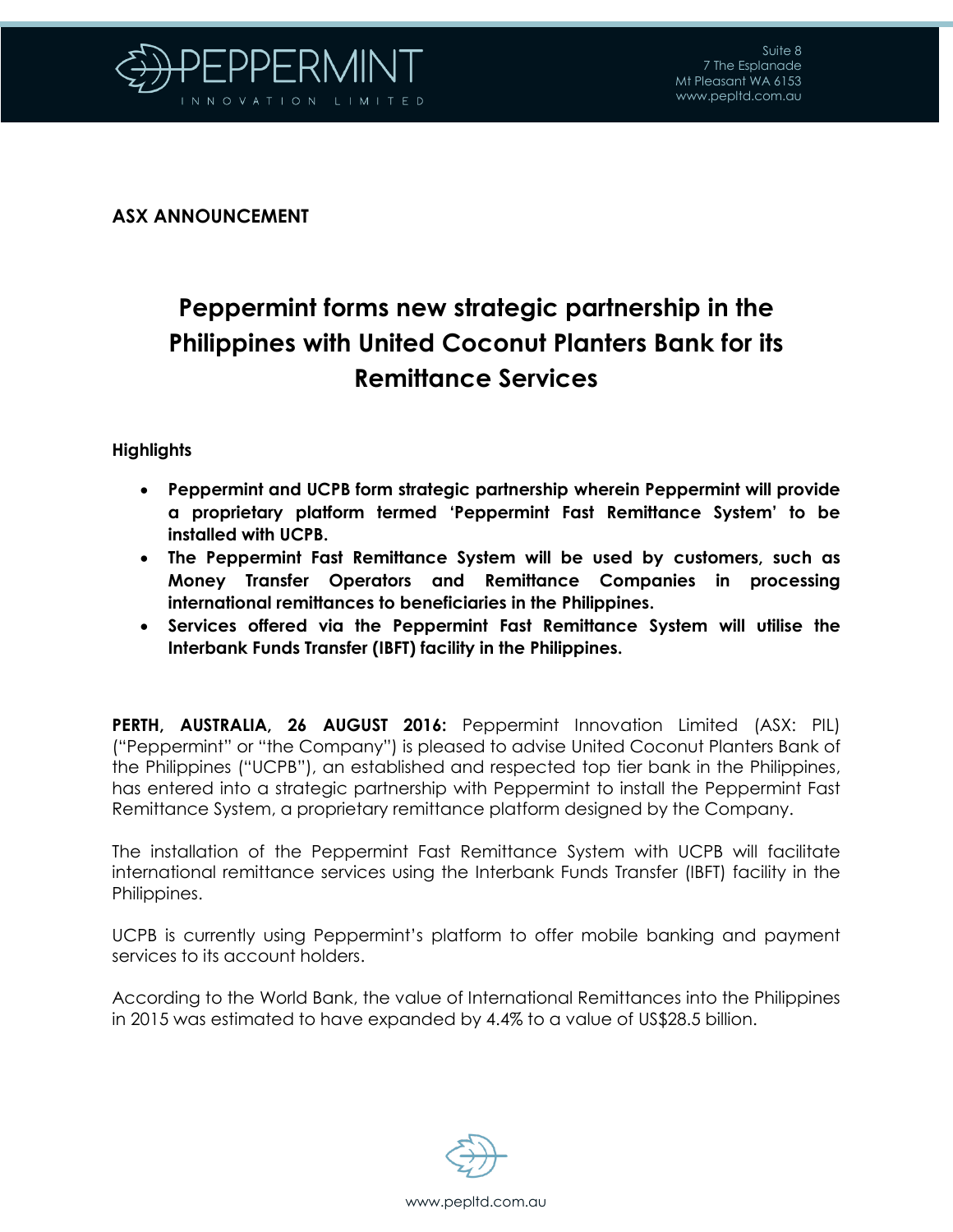

**ASX ANNOUNCEMENT**

## **Peppermint forms new strategic partnership in the Philippines with United Coconut Planters Bank for its Remittance Services**

## **Highlights**

- **Peppermint and UCPB form strategic partnership wherein Peppermint will provide a proprietary platform termed 'Peppermint Fast Remittance System' to be installed with UCPB.**
- **The Peppermint Fast Remittance System will be used by customers, such as Money Transfer Operators and Remittance Companies in processing international remittances to beneficiaries in the Philippines.**
- **Services offered via the Peppermint Fast Remittance System will utilise the Interbank Funds Transfer (IBFT) facility in the Philippines.**

**PERTH, AUSTRALIA, 26 AUGUST 2016:** Peppermint Innovation Limited (ASX: PIL) ("Peppermint" or "the Company") is pleased to advise United Coconut Planters Bank of the Philippines ("UCPB"), an established and respected top tier bank in the Philippines, has entered into a strategic partnership with Peppermint to install the Peppermint Fast Remittance System, a proprietary remittance platform designed by the Company.

The installation of the Peppermint Fast Remittance System with UCPB will facilitate international remittance services using the Interbank Funds Transfer (IBFT) facility in the Philippines.

UCPB is currently using Peppermint's platform to offer mobile banking and payment services to its account holders.

According to the World Bank, the value of International Remittances into the Philippines in 2015 was estimated to have expanded by 4.4% to a value of US\$28.5 billion.